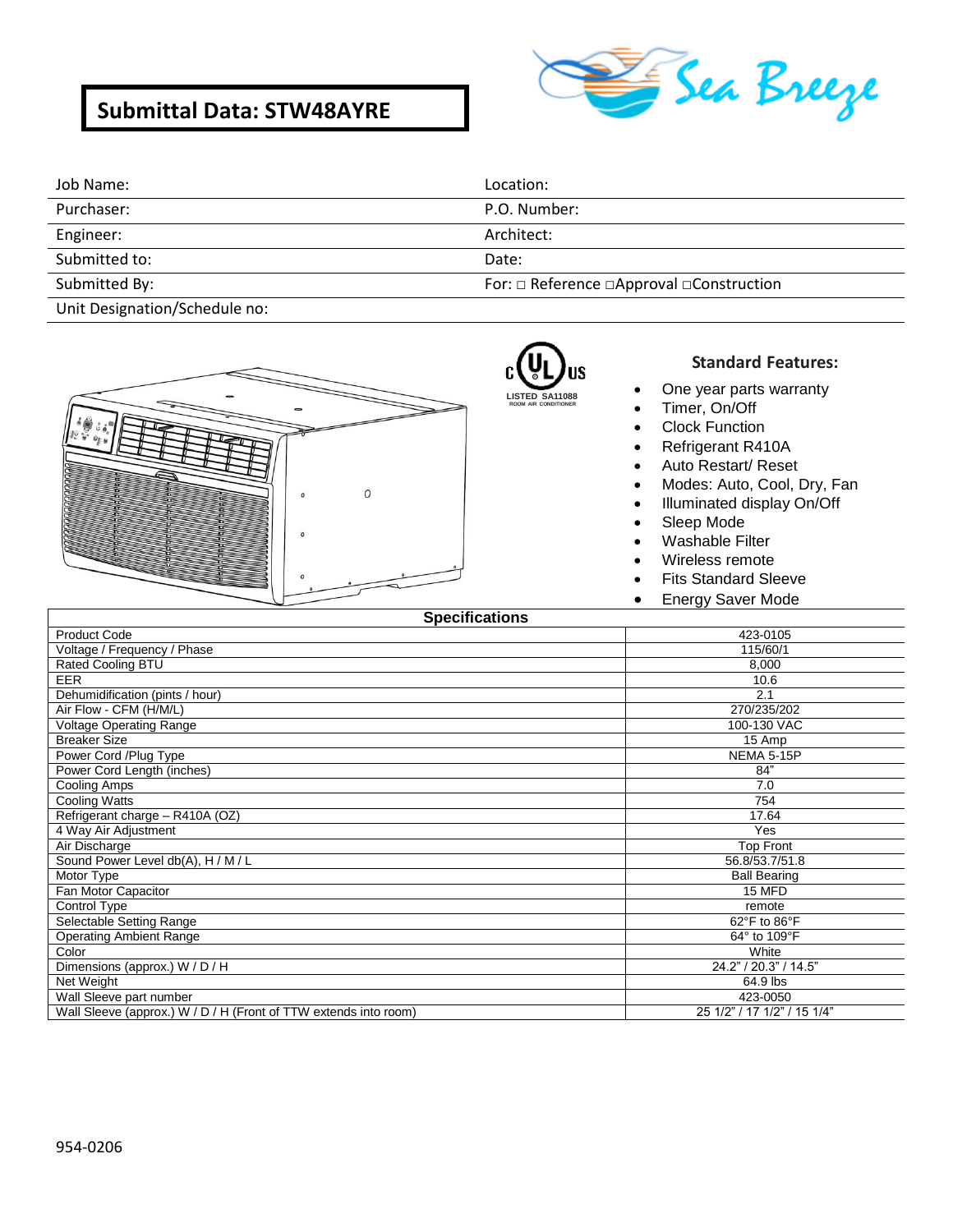# **Submittal Data: STW48AYRE**



| Job Name:                                                                                                       | Location:                                |
|-----------------------------------------------------------------------------------------------------------------|------------------------------------------|
| Purchaser:                                                                                                      | P.O. Number:                             |
| Engineer:                                                                                                       | Architect:                               |
| Submitted to:                                                                                                   | Date:                                    |
| Submitted By:                                                                                                   | For: □ Reference □Approval □Construction |
| the contract of the contract of the contract of the contract of the contract of the contract of the contract of |                                          |

Unit Designation/Schedule no:



## R) **LISTED SA11088**

**ROOM AIR CONDITIONER**

### **Standard Features:**

- One year parts warranty
- Timer, On/Off
- Clock Function
- Refrigerant R410A
- Auto Restart/ Reset
- Modes: Auto, Cool, Dry, Fan
- Illuminated display On/Off
- Sleep Mode
- Washable Filter
- Wireless remote
- Fits Standard Sleeve
- **Energy Saver Mode**

| <b>Specifications</b>                                            |                             |
|------------------------------------------------------------------|-----------------------------|
| <b>Product Code</b>                                              | 423-0105                    |
| Voltage / Frequency / Phase                                      | 115/60/1                    |
| Rated Cooling BTU                                                | 8,000                       |
| <b>EER</b>                                                       | 10.6                        |
| Dehumidification (pints / hour)                                  | 2.1                         |
| Air Flow - CFM (H/M/L)                                           | 270/235/202                 |
| <b>Voltage Operating Range</b>                                   | 100-130 VAC                 |
| <b>Breaker Size</b>                                              | 15 Amp                      |
| Power Cord /Plug Type                                            | NEMA 5-15P                  |
| Power Cord Length (inches)                                       | 84"                         |
| Cooling Amps                                                     | 7.0                         |
| Cooling Watts                                                    | 754                         |
| Refrigerant charge - R410A (OZ)                                  | 17.64                       |
| 4 Way Air Adjustment                                             | Yes                         |
| Air Discharge                                                    | <b>Top Front</b>            |
| Sound Power Level db(A), H / M / L                               | 56.8/53.7/51.8              |
| Motor Type                                                       | <b>Ball Bearing</b>         |
| Fan Motor Capacitor                                              | 15 MFD                      |
| Control Type                                                     | remote                      |
| Selectable Setting Range                                         | 62°F to 86°F                |
| <b>Operating Ambient Range</b>                                   | 64° to 109°F                |
| Color                                                            | White                       |
| Dimensions (approx.) W / D / H                                   | 24.2" / 20.3" / 14.5"       |
| Net Weight                                                       | 64.9 lbs                    |
| Wall Sleeve part number                                          | 423-0050                    |
| Wall Sleeve (approx.) W / D / H (Front of TTW extends into room) | 25 1/2" / 17 1/2" / 15 1/4" |